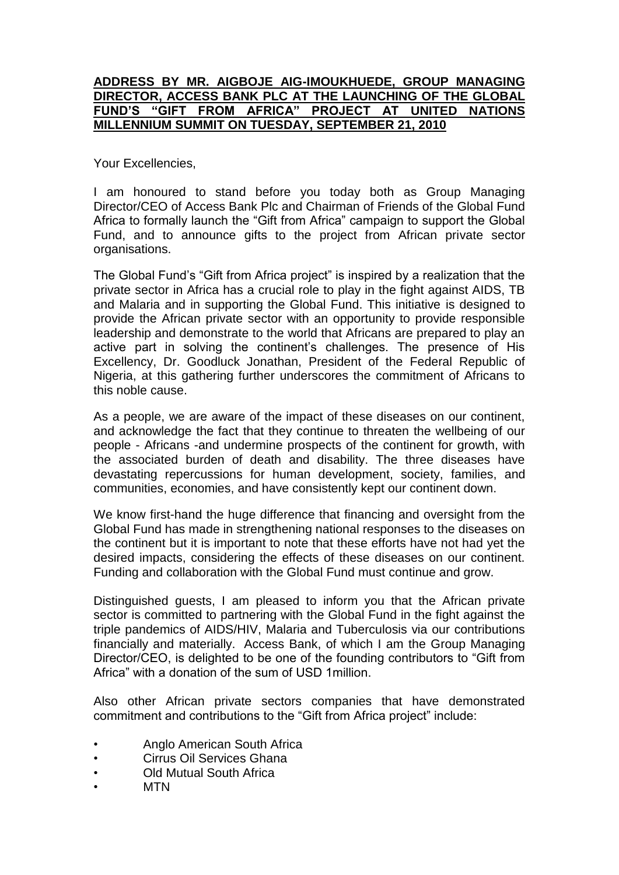## **ADDRESS BY MR. AIGBOJE AIG-IMOUKHUEDE, GROUP MANAGING DIRECTOR, ACCESS BANK PLC AT THE LAUNCHING OF THE GLOBAL FUND'S "GIFT FROM AFRICA" PROJECT AT UNITED NATIONS MILLENNIUM SUMMIT ON TUESDAY, SEPTEMBER 21, 2010**

Your Excellencies,

I am honoured to stand before you today both as Group Managing Director/CEO of Access Bank Plc and Chairman of Friends of the Global Fund Africa to formally launch the "Gift from Africa" campaign to support the Global Fund, and to announce gifts to the project from African private sector organisations.

The Global Fund's "Gift from Africa project" is inspired by a realization that the private sector in Africa has a crucial role to play in the fight against AIDS, TB and Malaria and in supporting the Global Fund. This initiative is designed to provide the African private sector with an opportunity to provide responsible leadership and demonstrate to the world that Africans are prepared to play an active part in solving the continent's challenges. The presence of His Excellency, Dr. Goodluck Jonathan, President of the Federal Republic of Nigeria, at this gathering further underscores the commitment of Africans to this noble cause.

As a people, we are aware of the impact of these diseases on our continent, and acknowledge the fact that they continue to threaten the wellbeing of our people - Africans -and undermine prospects of the continent for growth, with the associated burden of death and disability. The three diseases have devastating repercussions for human development, society, families, and communities, economies, and have consistently kept our continent down.

We know first-hand the huge difference that financing and oversight from the Global Fund has made in strengthening national responses to the diseases on the continent but it is important to note that these efforts have not had yet the desired impacts, considering the effects of these diseases on our continent. Funding and collaboration with the Global Fund must continue and grow.

Distinguished guests, I am pleased to inform you that the African private sector is committed to partnering with the Global Fund in the fight against the triple pandemics of AIDS/HIV, Malaria and Tuberculosis via our contributions financially and materially. Access Bank, of which I am the Group Managing Director/CEO, is delighted to be one of the founding contributors to "Gift from Africa" with a donation of the sum of USD 1million.

Also other African private sectors companies that have demonstrated commitment and contributions to the "Gift from Africa project" include:

- Anglo American South Africa
- Cirrus Oil Services Ghana
- **Old Mutual South Africa**
- MTN